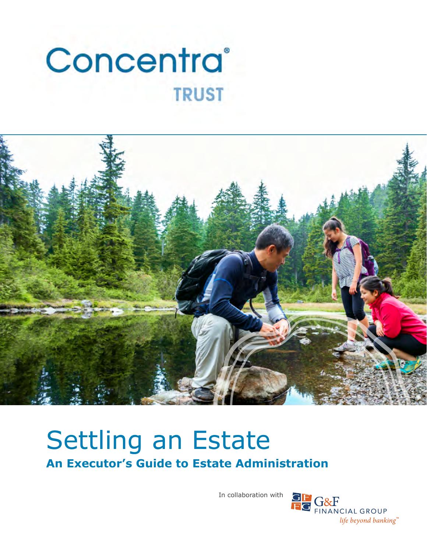# Concentra® **TRUST**



# Settling an Estate **An Executor's Guide to Estate Administration**

In collaboration with

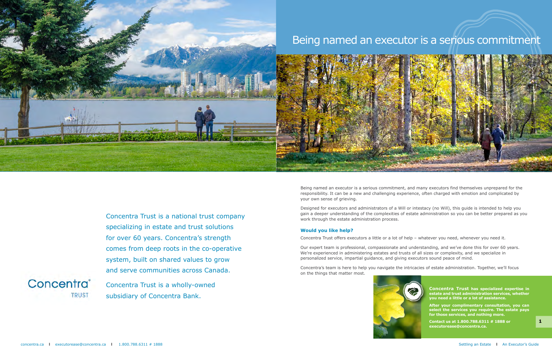**After your complimentary consultation, you can select the services you require. The estate pays for those services, and nothing more.**

**Contact us at 1.800.788.6311 # 1888 or executorease@concentra.ca.**

Being named an executor is a serious commitment, and many executors find themselves unprepared for the responsibility. It can be a new and challenging experience, often charged with emotion and complicated by your own sense of grieving.

Designed for executors and administrators of a Will or intestacy (no Will), this guide is intended to help you gain a deeper understanding of the complexities of estate administration so you can be better prepared as you work through the estate administration process.

#### **Would you like help?**

Concentra Trust offers executors a little or a lot of help – whatever you need, whenever you need it.

Our expert team is professional, compassionate and understanding, and we've done this for over 60 years. We're experienced in administering estates and trusts of all sizes or complexity, and we specialize in personalized service, impartial guidance, and giving executors sound peace of mind.

Concentra's team is here to help you navigate the intricacies of estate administration. Together, we'll focus on the things that matter most.







### Being named an executor is a serious commitment



Concentra Trust is a national trust company specializing in estate and trust solutions for over 60 years. Concentra's strength comes from deep roots in the co-operative system, built on shared values to grow and serve communities across Canada.

Concentra<sup>®</sup> **TRUST** 

Concentra Trust is a wholly-owned subsidiary of Concentra Bank.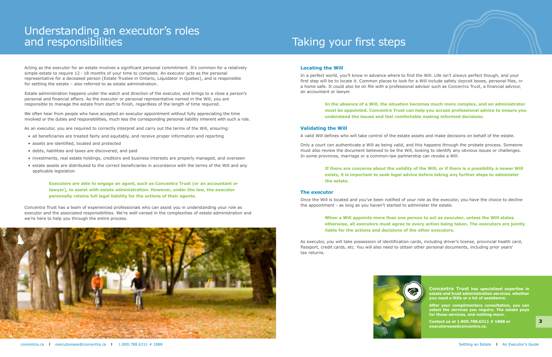**After your complimentary consultation, you can select the services you require. The estate pays for those services, and nothing more.**

**Contact us at 1.800.788.6311 # 1888 or executorease@concentra.ca.**

#### **Locating the Will**

In a perfect world, you'll know in advance where to find the Will. Life isn't always perfect though, and your first step will be to locate it. Common places to look for a Will include safety deposit boxes, personal files, or a home safe. It could also be on file with a professional advisor such as Concentra Trust, a financial advisor, an accountant or lawyer.

### **In the absence of a Will, the situation becomes much more complex, and an administrator must be appointed. Concentra Trust can help you access professional advice to ensure you**

**understand the issues and feel comfortable making informed decisions.**

#### **Validating the Will**

A valid Will defines who will take control of the estate assets and make decisions on behalf of the estate.

Only a court can authenticate a Will as being valid, and this happens through the probate process. Someone must also review the document believed to be the Will, looking to identify any obvious issues or challenges. In some provinces, marriage or a common-law partnership can revoke a Will.

#### **If there are concerns about the validity of the Will, or if there is a possibility a newer Will exists, it is important to seek legal advice before taking any further steps to administer**

**the estate.**

#### **The executor**

Once the Will is located and you've been notified of your role as the executor, you have the choice to decline the appointment - as long as you haven't started to administer the estate.

### **When a Will appoints more than one person to act as executor, unless the Will states otherwise, all executors must agree to every action being taken. The executors are jointly**



**liable for the actions and decisions of the other executors.**

As executor, you will take possession of identification cards, including driver's license, provincial health card, Passport, credit cards, etc. You will also need to obtain other personal documents, including prior years' tax returns.



Acting as the executor for an estate involves a significant personal commitment. It's common for a relatively simple estate to require 12 - 18 months of your time to complete. An executor acts as the personal representative for a deceased person (Estate Trustee in Ontario, Liquidator in Quebec), and is responsible for settling the estate – also referred to as estate administration.

Estate administration happens under the watch and direction of the executor, and brings to a close a person's personal and financial affairs. As the executor or personal representative named in the Will, you are responsible to manage the estate from start to finish, regardless of the length of time required.

We often hear from people who have accepted an executor appointment without fully appreciating the time involved or the duties and responsibilities, much less the corresponding personal liability inherent with such a role.

As an executor, you are required to correctly interpret and carry out the terms of the Will, ensuring:

- all beneficiaries are treated fairly and equitably, and receive proper information and reporting
- assets are identified, located and protected
- debts, liabilities and taxes are discovered, and paid
- investments, real estate holdings, creditors and business interests are properly managed, and overseen
- estate assets are distributed to the correct beneficiaries in accordance with the terms of the Will and any applicable legislation

**Executors are able to engage an agent, such as Concentra Trust (or an accountant or lawyer), to assist with estate administration. However, under the law, the executor personally retains full legal liability for the actions of their agents.**

Concentra Trust has a team of experienced professionals who can assist you in understanding your role as executor and the associated responsibilities. We're well-versed in the complexities of estate administration and we're here to help you through the entire process.



## Taking your first steps

### Understanding an executor's roles and responsibilities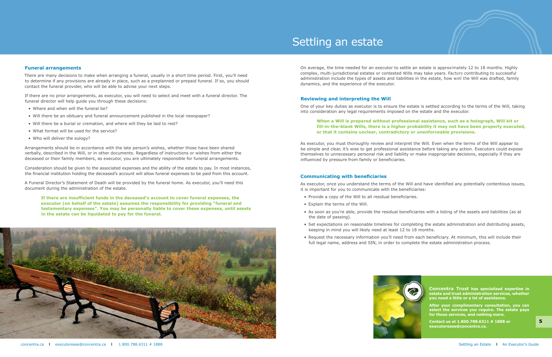**After your complimentary consultation, you can select the services you require. The estate pays for those services, and nothing more.**

**Contact us at 1.800.788.6311 # 1888 or executorease@concentra.ca.**

On average, the time needed for an executor to settle an estate is approximately 12 to 18 months. Highly complex, multi-jurisdictional estates or contested Wills may take years. Factors contributing to successful administration include the types of assets and liabilities in the estate, how well the Will was drafted, family dynamics, and the experience of the executor.

#### **Reviewing and interpreting the Will**

One of your key duties as executor is to ensure the estate is settled according to the terms of the Will, taking into consideration any legal requirements imposed on the estate and the executor.

### **When a Will is prepared without professional assistance, such as a holograph, Will kit or fill-in-the-blank Wills, there is a higher probability it may not have been properly executed,**

**or that it contains unclear, contradictory or unenforceable provisions.**

As executor, you must thoroughly review and interpret the Will. Even when the terms of the Will appear to be simple and clear, it's wise to get professional assistance before taking any action. Executors could expose themselves to unnecessary personal risk and liability or make inappropriate decisions, especially if they are influenced by pressure from family or beneficiaries.

#### **Communicating with beneficiaries**

As executor, once you understand the terms of the Will and have identified any potentially contentious issues, it is important for you to communicate with the beneficiaries:

• As soon as you're able, provide the residual beneficiaries with a listing of the assets and liabilities (as at

• Set expectations on reasonable timelines for completing the estate administration and distributing assets,

- Provide a copy of the Will to all residual beneficiaries.
- Explain the terms of the Will.
- the date of passing).
- keeping in mind you will likely need at least 12 to 18 months.
- full legal name, address and SIN, in order to complete the estate administration process.



• Request the necessary information you'll need from each beneficiary. At minimum, this will include their



#### **Funeral arrangements**

There are many decisions to make when arranging a funeral, usually in a short time period. First, you'll need to determine if any provisions are already in place, such as a preplanned or prepaid funeral. If so, you should contact the funeral provider, who will be able to advise your next steps.

If there are no prior arrangements, as executor, you will need to select and meet with a funeral director. The funeral director will help guide you through these decisions:

- Where and when will the funeral be?
- Will there be an obituary and funeral announcement published in the local newspaper?
- Will there be a burial or cremation, and where will they be laid to rest?
- What format will be used for the service?
- Who will deliver the eulogy?

Arrangements should be in accordance with the late person's wishes, whether those have been shared verbally, described in the Will, or in other documents. Regardless of instructions or wishes from either the deceased or their family members, as executor, you are ultimately responsible for funeral arrangements.

Consideration should be given to the associated expenses and the ability of the estate to pay. In most instances, the financial institution holding the deceased's account will allow funeral expenses to be paid from this account.

A Funeral Director's Statement of Death will be provided by the funeral home. As executor, you'll need this document during the administration of the estate.

**If there are insufficient funds in the deceased's account to cover funeral expenses, the executor (on behalf of the estate) assumes the responsibility for providing "funeral and testamentary expenses". You may be personally liable to cover these expenses, until assets in the estate can be liquidated to pay for the funeral.**



### Settling an estate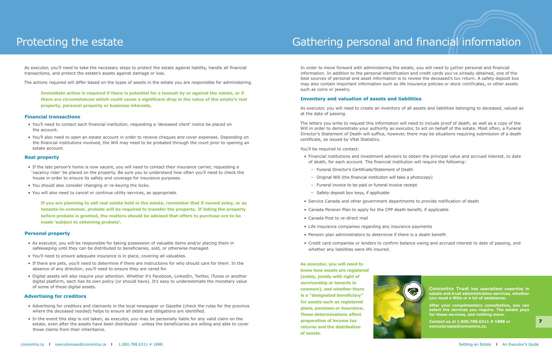In order to move forward with administering the estate, you will need to gather personal and financial information. In addition to the personal identification and credit cards you've already obtained, one of the best sources of personal and asset information is to review the deceased's tax return. A safety deposit box may also contain important information such as life insurance policies or stock certificates, or other assets such as coins or jewelry.

#### **Inventory and valuation of assets and liabilities**

As executor, you will need to create an inventory of all assets and liabilities belonging to deceased, valued as at the date of passing.

The letters you write to request this information will need to include proof of death, as well as a copy of the Will in order to demonstrate your authority as executor, to act on behalf of the estate. Most often, a Funeral Director's Statement of Death will suffice, however, there may be situations requiring submission of a death certificate, as issued by Vital Statistics.

You'll be required to contact:

• Financial institutions and investment advisors to obtain the principal value and accrued interest, to date



- of death, for each account. The financial institution will require the following:
	- Funeral Director's Certificate/Statement of Death
	- Original Will (the financial institution will take a photocopy)
	- Funeral invoice to be paid or funeral invoice receipt
	- Safety deposit box keys, if applicable
- Service Canada and other government departments to provide notification of death
- Canada Pension Plan to apply for the CPP death benefit, if applicable
- Canada Post to re-direct mail
- Life insurance companies regarding any insurance payments
- Pension plan administrators to determine if there is a death benefit
- Credit card companies or lenders to confirm balance owing and accrued interest to date of passing, and whether any liabilities were life insured.

#### **As executor, you will need to know how assets are registered**

**(solely, jointly with right of survivorship or tenants in common), and whether there is a "designated beneficiary" for assets such as registered plans, pensions or insurance. These determinations affect preparation of income tax returns and the distribution of assets.** 



### Gathering personal and financial information

As executor, you'll need to take the necessary steps to protect the estate against liability, handle all financial transactions, and protect the estate's assets against damage or loss.

The actions required will differ based on the types of assets in the estate you are responsible for administering.

**Immediate action is required if there is potential for a lawsuit by or against the estate, or if there are circumstances which could cause a significant drop in the value of the estate's real property, personal property or business interests.**

#### **Financial transactions**

- You'll need to contact each financial institution, requesting a 'deceased client' notice be placed on the account.
- You'll also need to open an estate account in order to receive cheques and cover expenses. Depending on the financial institutions involved, the Will may need to be probated through the court prior to opening an estate account.

#### **Real property**

- If the late person's home is now vacant, you will need to contact their insurance carrier, requesting a 'vacancy rider' be placed on the property. Be sure you to understand how often you'll need to check the house in order to ensure its safety and coverage for insurance purposes.
- You should also consider changing or re-keying the locks.
- You will also need to cancel or continue utility services, as appropriate.

**If you are planning to sell real estate held in the estate, remember that if owned soley, or as tenants-in-common, probate will be required to transfer the property. If listing the property before probate is granted, the realtors should be advised that offers to purchase are to be made 'subject to obtaining probate'.**

#### **Personal property**

- As executor, you will be responsible for taking possession of valuable items and/or placing them in safekeeping until they can be distributed to beneficiaries, sold, or otherwise managed.
- You'll need to ensure adequate insurance is in place, covering all valuables.
- If there are pets, you'll need to determine if there are instructions for who should care for them. In the absence of any direction, you'll need to ensure they are cared for.
- Digital assets will also require your attention. Whether it's Facebook, LinkedIn, Twitter, iTunes or another digital platform, each has its own policy (or should have). It's easy to underestimate the monetary value of some of these digital assets.

#### **Advertising for creditors**

- Advertising for creditors and claimants in the local newspaper or Gazette (check the rules for the province where the deceased resided) helps to ensure all debts and obligations are identified.
- In the event this step is not taken, as executor, you may be personally liable for any valid claim on the estate, even after the assets have been distributed - unless the beneficiaries are willing and able to cover those claims from their inheritance.

### Protecting the estate

**Concentra Trust has specialized expertise in estate and trust administration services, whether you need a little or a lot of assistance.** 

**After your complimentary consultation, you can select the services you require. The estate pays for those services, and nothing more.**

**Contact us at 1.800.788.6311 # 1888 or executorease@concentra.ca.**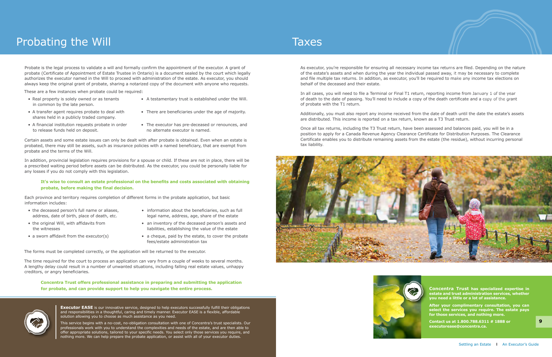**After your complimentary consultation, you can select the services you require. The estate pays for those services, and nothing more.**

**Contact us at 1.800.788.6311 # 1888 or executorease@concentra.ca.**

As executor, you're responsible for ensuring all necessary income tax returns are filed. Depending on the nature of the estate's assets and when during the year the individual passed away, it may be necessary to complete and file multiple tax returns. In addition, as executor, you'll be required to make any income tax elections on behalf of the deceased and their estate.

In all cases, you will need to file a Terminal or Final T1 return, reporting income from January 1 of the year of death to the date of passing. You'll need to include a copy of the death certificate and a copy of the grant of probate with the T1 return.

- in common by the late person.
- Real property is solely owned or as tenants A testamentary trust is established under the Will.
- A transfer agent requires probate to deal with There are beneficiaries under the age of majority. shares held in a publicly traded company.
	-
- to release funds held on deposit. The no alternate executor is named.
- A financial institution requests probate in order The executor has pre-deceased or renounces, and

Additionally, you must also report any income received from the date of death until the date the estate's assets are distributed. This income is reported on a tax return, known as a T3 Trust return.

Once all tax returns, including the T3 Trust return, have been assessed and balances paid, you will be in a position to apply for a Canada Revenue Agency Clearance Certificate for Distribution Purposes. The Clearance Certificate enables you to distribute remaining assets from the estate (the residue), without incurring personal tax liability.







Probate is the legal process to validate a will and formally confirm the appointment of the executor. A grant of probate (Certificate of Appointment of Estate Trustee in Ontario) is a document sealed by the court which legally authorizes the executor named in the Will to proceed with administration of the estate. As executor, you should always keep the original grant of probate, sharing a notarized copy of the document with anyone who requests.

- 
- 
- the deceased person's full name or aliases, • information about the beneficiaries, such as full address, date of birth, place of death, etc. legal name, address, age, share of the estate
- the original Will, with affidavits from an inventory of the deceased person's assets and the witnesses liabilities, establishing the value of the estate
- a sworn affidavit from the executor(s) a cheque, paid by the estate, to cover the probate fees/estate administration tax

These are a few instances when probate could be required:

**Executor EASE** is our innovative service, designed to help executors successfully fulfill their obligations and responsibilities in a thoughtful, caring and timely manner. Executor EASE is a flexible, affordable solution allowing you to choose as much assistance as you need.

Certain assets and some estate issues can only be dealt with after probate is obtained. Even when an estate is probated, there may still be assets, such as insurance policies with a named beneficiary, that are exempt from probate and the terms of the Will.

In addition, provincial legislation requires provisions for a spouse or child. If these are not in place, there will be a prescribed waiting period before assets can be distributed. As the executor, you could be personally liable for any losses if you do not comply with this legislation.

#### **It's wise to consult an estate professional on the benefits and costs associated with obtaining probate, before making the final decision.**

Each province and territory requires completion of different forms in the probate application, but basic information includes:

The forms must be completed correctly, or the application will be returned to the executor.

The time required for the court to process an application can vary from a couple of weeks to several months. A lengthy delay could result in a number of unwanted situations, including falling real estate values, unhappy creditors, or angry beneficiaries.

**Concentra Trust offers professional assistance in preparing and submitting the application for probate, and can provide support to help you navigate the entire process.**



## Probating the Will

This service begins with a no-cost, no-obligation consultation with one of Concentra's trust specialists. Our professionals work with you to understand the complexities and needs of the estate, and are then able to offer appropriate solutions, tailored to your specific needs. You select only those services you require, and nothing more. We can help prepare the probate application, or assist with all of your executor duties.

### **Taxes**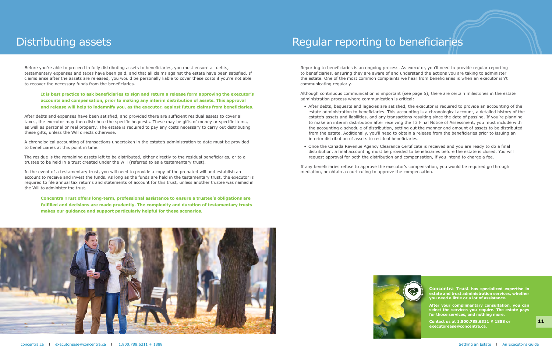**After your complimentary consultation, you can select the services you require. The estate pays for those services, and nothing more.**

**Contact us at 1.800.788.6311 # 1888 or executorease@concentra.ca.**

Reporting to beneficiaries is an ongoing process. As executor, you'll need to provide regular reporting to beneficiaries, ensuring they are aware of and understand the actions you are taking to administer the estate. One of the most common complaints we hear from beneficiaries is when an executor isn't communicating regularly.

Although continuous communication is important (see page 5), there are certain milestones in the estate administration process where communication is critical:

• After debts, bequests and legacies are satisfied, the executor is required to provide an accounting of the estate administration to beneficiaries. This accounting is a chronological account, a detailed history of the estate's assets and liabilities, and any transactions resulting since the date of passing. If you're planning to make an interim distribution after receiving the T3 Final Notice of Assessment, you must include with the accounting a schedule of distribution, setting out the manner and amount of assets to be distributed from the estate. Additionally, you'll need to obtain a release from the beneficiaries prior to issuing an

• Once the Canada Revenue Agency Clearance Certificate is received and you are ready to do a final distribution, a final accounting must be provided to beneficiaries before the estate is closed. You will



- interim distribution of assets to residual beneficiaries.
- request approval for both the distribution and compensation, if you intend to charge a fee.

If any beneficiaries refuse to approve the executor's compensation, you would be required go through mediation, or obtain a court ruling to approve the compensation.





### Regular reporting to beneficiaries

Before you're able to proceed in fully distributing assets to beneficiaries, you must ensure all debts, testamentary expenses and taxes have been paid, and that all claims against the estate have been satisfied. If claims arise after the assets are released, you would be personally liable to cover these costs if you're not able to recover the necessary funds from the beneficiaries.

**It is best practice to ask beneficiaries to sign and return a release form approving the executor's accounts and compensation, prior to making any interim distribution of assets. This approval and release will help to indemnify you, as the executor, against future claims from beneficiaries.**

After debts and expenses have been satisfied, and provided there are sufficient residual assets to cover all taxes, the executor may then distribute the specific bequests. These may be gifts of money or specific items, as well as personal or real property. The estate is required to pay any costs necessary to carry out distributing these gifts, unless the Will directs otherwise.

A chronological accounting of transactions undertaken in the estate's administration to date must be provided to beneficiaries at this point in time.

The residue is the remaining assets left to be distributed, either directly to the residual beneficiaries, or to a trustee to be held in a trust created under the Will (referred to as a testamentary trust).

In the event of a testamentary trust, you will need to provide a copy of the probated will and establish an account to receive and invest the funds. As long as the funds are held in the testamentary trust, the executor is required to file annual tax returns and statements of account for this trust, unless another trustee was named in the Will to administer the trust.

**Concentra Trust offers long-term, professional assistance to ensure a trustee's obligations are fulfilled and decisions are made prudently. The complexity and duration of testamentary trusts makes our guidance and support particularly helpful for these scenarios.**

### Distributing assets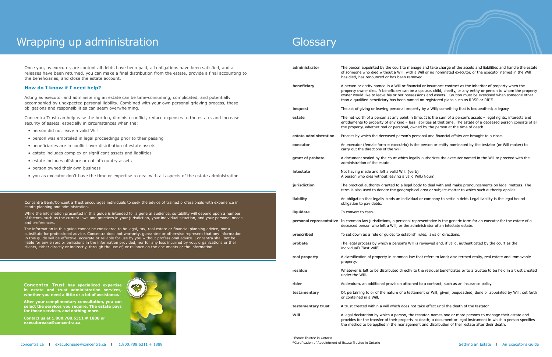### Wrapping up administration

| Once you, as executor, are content all debts have been paid, all obligations have been satisfied, and all<br>releases have been returned, you can make a final distribution from the estate, provide a final accounting to<br>the beneficiaries, and close the estate account.                                                                                                                                                                                                                                                                                                                                                                                                                                                                                                                                                                                                                                                                                                                                                                                                                                                                               | administrator         | The person appointed by the court to manage and tal<br>of someone who died without a Will, with a Will or no<br>has died, has renounced or has been removed.                                                                     |
|--------------------------------------------------------------------------------------------------------------------------------------------------------------------------------------------------------------------------------------------------------------------------------------------------------------------------------------------------------------------------------------------------------------------------------------------------------------------------------------------------------------------------------------------------------------------------------------------------------------------------------------------------------------------------------------------------------------------------------------------------------------------------------------------------------------------------------------------------------------------------------------------------------------------------------------------------------------------------------------------------------------------------------------------------------------------------------------------------------------------------------------------------------------|-----------------------|----------------------------------------------------------------------------------------------------------------------------------------------------------------------------------------------------------------------------------|
| How do I know if I need help?                                                                                                                                                                                                                                                                                                                                                                                                                                                                                                                                                                                                                                                                                                                                                                                                                                                                                                                                                                                                                                                                                                                                | beneficiary           | A person or entity named in a Will or financial or insu<br>property owner dies. A beneficiary can be a spouse, o<br>owner would like to leave his or her possessions and<br>than a qualified beneficiary has been named on regis |
| Acting as executor and administering an estate can be time-consuming, complicated, and potentially<br>accompanied by unexpected personal liability. Combined with your own personal grieving process, these<br>obligations and responsibilities can seem overwhelming.                                                                                                                                                                                                                                                                                                                                                                                                                                                                                                                                                                                                                                                                                                                                                                                                                                                                                       |                       |                                                                                                                                                                                                                                  |
|                                                                                                                                                                                                                                                                                                                                                                                                                                                                                                                                                                                                                                                                                                                                                                                                                                                                                                                                                                                                                                                                                                                                                              | bequest               | The act of giving or leaving personal property by a W                                                                                                                                                                            |
| Concentra Trust can help ease the burden, diminish conflict, reduce expenses to the estate, and increase<br>security of assets, especially in circumstances when the:                                                                                                                                                                                                                                                                                                                                                                                                                                                                                                                                                                                                                                                                                                                                                                                                                                                                                                                                                                                        | estate                | The net worth of a person at any point in time. It is tl<br>entitlements to property of any kind - less liabilities a<br>the property, whether real or personal, owned by the                                                    |
| · person did not leave a valid Will                                                                                                                                                                                                                                                                                                                                                                                                                                                                                                                                                                                                                                                                                                                                                                                                                                                                                                                                                                                                                                                                                                                          |                       |                                                                                                                                                                                                                                  |
| • person was embroiled in legal proceedings prior to their passing                                                                                                                                                                                                                                                                                                                                                                                                                                                                                                                                                                                                                                                                                                                                                                                                                                                                                                                                                                                                                                                                                           | estate administration | Process by which the deceased person's personal and                                                                                                                                                                              |
| • beneficiaries are in conflict over distribution of estate assets                                                                                                                                                                                                                                                                                                                                                                                                                                                                                                                                                                                                                                                                                                                                                                                                                                                                                                                                                                                                                                                                                           | executor              | An executor (female form = executrix) is the person<br>carry out the directions of the Will.                                                                                                                                     |
| • estate includes complex or significant assets and liabilities                                                                                                                                                                                                                                                                                                                                                                                                                                                                                                                                                                                                                                                                                                                                                                                                                                                                                                                                                                                                                                                                                              |                       |                                                                                                                                                                                                                                  |
| • estate includes offshore or out-of-country assets                                                                                                                                                                                                                                                                                                                                                                                                                                                                                                                                                                                                                                                                                                                                                                                                                                                                                                                                                                                                                                                                                                          | grant of probate      | A document sealed by the court which legally authori:<br>administration of the estate.                                                                                                                                           |
| • person owned their own business                                                                                                                                                                                                                                                                                                                                                                                                                                                                                                                                                                                                                                                                                                                                                                                                                                                                                                                                                                                                                                                                                                                            | intestate             | Not having made and left a valid Will. (verb)<br>A person who dies without leaving a valid Will.(Noun)                                                                                                                           |
| • you as executor don't have the time or expertise to deal with all aspects of the estate administration                                                                                                                                                                                                                                                                                                                                                                                                                                                                                                                                                                                                                                                                                                                                                                                                                                                                                                                                                                                                                                                     |                       |                                                                                                                                                                                                                                  |
|                                                                                                                                                                                                                                                                                                                                                                                                                                                                                                                                                                                                                                                                                                                                                                                                                                                                                                                                                                                                                                                                                                                                                              | jurisdiction          | The practical authority granted to a legal body to dea<br>term is also used to denote the geographical area or                                                                                                                   |
| Concentra Bank/Concentra Trust encourages individuals to seek the advice of trained professionals with experience in<br>estate planning and administration.                                                                                                                                                                                                                                                                                                                                                                                                                                                                                                                                                                                                                                                                                                                                                                                                                                                                                                                                                                                                  | liability             | An obligation that legally binds an individual or compa<br>obligation to pay debts.                                                                                                                                              |
| While the information presented in this guide is intended for a general audience, suitability will depend upon a number                                                                                                                                                                                                                                                                                                                                                                                                                                                                                                                                                                                                                                                                                                                                                                                                                                                                                                                                                                                                                                      | liquidate             | To convert to cash.                                                                                                                                                                                                              |
| of factors, such as the current laws and practices in your jurisdiction, your individual situation, and your personal needs<br>and preferences.<br>The information in this guide cannot be considered to be legal, tax, real estate or financial planning advice, nor a<br>substitute for professional advice. Concentra does not warranty, guarantee or otherwise represent that any information<br>in this guide will be effective, accurate or reliable for use by you without professional advice. Concentra shall not be<br>liable for any errors or omissions in the information provided, nor for any loss incurred by you, organizations or their<br>clients, either directly or indirectly, through the use of, or reliance on the documents or the information.<br>Concentra Trust has specialized expertise<br>$\sim$<br>in estate and trust administration services,<br>whether you need a little or a lot of assistance.<br>After your complimentary consultation, you can<br>select the services you require. The estate pays<br>for those services, and nothing more.<br>Contact us at 1.800.788.6311 # 1888 or<br>executorease@concentra.ca. |                       | personal representative In common law jurisdictions, a personal representativ<br>deceased person who left a Will, or the administrator                                                                                           |
|                                                                                                                                                                                                                                                                                                                                                                                                                                                                                                                                                                                                                                                                                                                                                                                                                                                                                                                                                                                                                                                                                                                                                              | prescribed            | To set down as a rule or guide; to establish rules, law                                                                                                                                                                          |
|                                                                                                                                                                                                                                                                                                                                                                                                                                                                                                                                                                                                                                                                                                                                                                                                                                                                                                                                                                                                                                                                                                                                                              | probate               | The legal process by which a person's Will is reviewed<br>individual's "last Will".                                                                                                                                              |
|                                                                                                                                                                                                                                                                                                                                                                                                                                                                                                                                                                                                                                                                                                                                                                                                                                                                                                                                                                                                                                                                                                                                                              | real property         | A classification of property in common law that refers<br>property.                                                                                                                                                              |
|                                                                                                                                                                                                                                                                                                                                                                                                                                                                                                                                                                                                                                                                                                                                                                                                                                                                                                                                                                                                                                                                                                                                                              | residue               | Whatever is left to be distributed directly to the reside<br>under the Will.                                                                                                                                                     |
|                                                                                                                                                                                                                                                                                                                                                                                                                                                                                                                                                                                                                                                                                                                                                                                                                                                                                                                                                                                                                                                                                                                                                              | rider                 | Addendum, an additional provision attached to a cont                                                                                                                                                                             |
|                                                                                                                                                                                                                                                                                                                                                                                                                                                                                                                                                                                                                                                                                                                                                                                                                                                                                                                                                                                                                                                                                                                                                              | testamentary          | Of, pertaining to or of the nature of a testament or W<br>or contained in a Will.                                                                                                                                                |
|                                                                                                                                                                                                                                                                                                                                                                                                                                                                                                                                                                                                                                                                                                                                                                                                                                                                                                                                                                                                                                                                                                                                                              | testamentary trust    | A trust created within a will which does not take effect                                                                                                                                                                         |
|                                                                                                                                                                                                                                                                                                                                                                                                                                                                                                                                                                                                                                                                                                                                                                                                                                                                                                                                                                                                                                                                                                                                                              | Will                  | A legal declaration by which a person, the testator, na<br>provides for the transfer of their property at death; a<br>the method to be applied in the management and dis                                                         |

d take charge of the assets and liabilities and handle the estate or no nominated executor, or the executor named in the Will

insurance contract as the inheritor of property when the ise, child, charity, or any entity or person to whom the property and assets. Caution must be exercised when someone other registered plans such as RRSP or RRIF.

**a Will; something that is bequeathed; a legacy** 

It is the sum of a person's assets – legal rights, interests and ties at that time. The estate of a deceased person consists of all y the person at the time of death.

**l** and financial affairs are brought to a close.

rson or entity nominated by the testator (or Will maker) to

athorizes the executor named in the Will to proceed with the

**deal with and make pronouncements on legal matters. The** ea or subject-matter to which such authority applies.

liability an obsect an obither and soligation in the legal bound

ntative is the generic term for an executor for the estate of a rator of an intestate estate.

**prescribed** To set directions.

iewed and, if valid, authenticated by the court as the

refers to land; also termed realty, real estate and immovable

residual beneficiates or to a trustee to be held in a trust created

contract, such as an insurance policy.

or Will; given, bequeathed, done or appointed by Will; set forth

effect until the death of the testator.

for, names one or more persons to manage their estate and ath; a document or legal instrument in which a person specifies nd distribution of their estate after their death.

### **Glossary**